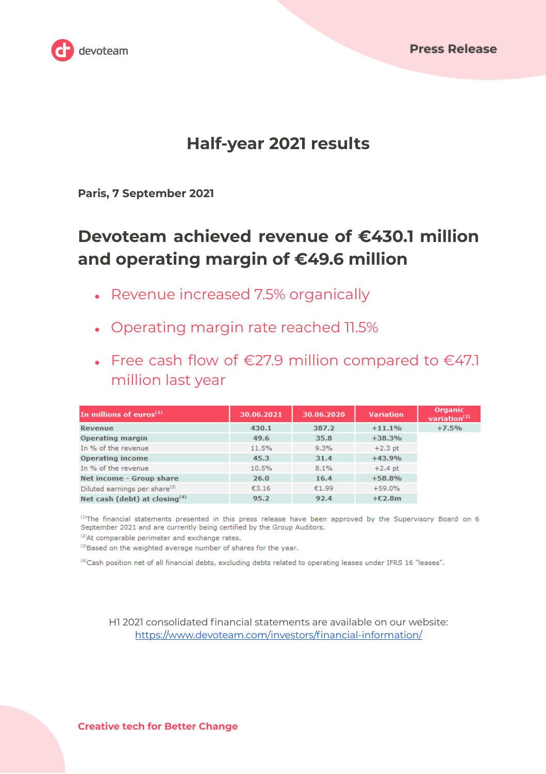

# **Half-year 2021 results**

**Paris, 7 September 2021**

# **Devoteam achieved revenue of €430.1 million and operating margin of €49.6 million**

- Revenue increased 7.5% organically
- Operating margin rate reached 11.5%
- Free cash flow of  $E27.9$  million compared to  $E47.1$ million last year

| In millions of euros $(1)$                | 30.06.2021 | 30.06.2020 | <b>Variation</b> | Organic<br>variation <sup>(2)</sup> |
|-------------------------------------------|------------|------------|------------------|-------------------------------------|
| Revenue                                   | 430.1      | 387.2      | $+11.1%$         | $+7.5%$                             |
| <b>Operating margin</b>                   | 49.6       | 35.8       | $+38.3%$         |                                     |
| In % of the revenue                       | 11.5%      | 9.3%       | $+2.3$ pt        |                                     |
| <b>Operating income</b>                   | 45.3       | 31.4       | $+43.9%$         |                                     |
| In % of the revenue                       | 10.5%      | 8.1%       | $+2.4$ pt        |                                     |
| Net income - Group share                  | 26.0       | 16.4       | $+58.8%$         |                                     |
| Diluted earnings per share <sup>(3)</sup> | €3.16      | €1.99      | $+59.0%$         |                                     |
| Net cash (debt) at closing $(4)$          | 95.2       | 92.4       | $+E2.8m$         |                                     |

<sup>(1)</sup>The financial statements presented in this press release have been approved by the Supervisory Board on 6 September 2021 and are currently being certified by the Group Auditors.

(2) At comparable perimeter and exchange rates.

(3) Based on the weighted average number of shares for the year.

(4) Cash position net of all financial debts, excluding debts related to operating leases under IFRS 16 "leases".

H1 2021 consolidated financial statements are available on our website: <https://www.devoteam.com/investors/financial-information/>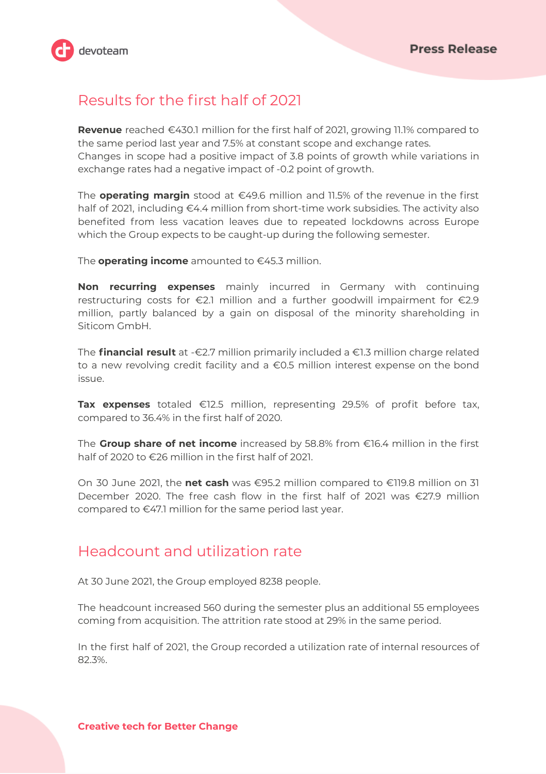

## Results for the first half of 2021

**Revenue** reached €430.1 million for the first half of 2021, growing 11.1% compared to the same period last year and 7.5% at constant scope and exchange rates. Changes in scope had a positive impact of 3.8 points of growth while variations in exchange rates had a negative impact of -0.2 point of growth.

The **operating margin** stood at €49.6 million and 11.5% of the revenue in the first half of 2021, including €4.4 million from short-time work subsidies. The activity also benefited from less vacation leaves due to repeated lockdowns across Europe which the Group expects to be caught-up during the following semester.

The **operating income** amounted to €45.3 million.

**Non recurring expenses** mainly incurred in Germany with continuing restructuring costs for €2.1 million and a further goodwill impairment for €2.9 million, partly balanced by a gain on disposal of the minority shareholding in Siticom GmbH.

The **financial result** at -€2.7 million primarily included a €1.3 million charge related to a new revolving credit facility and a €0.5 million interest expense on the bond issue.

**Tax expenses** totaled €12.5 million, representing 29.5% of profit before tax, compared to 36.4% in the first half of 2020.

The **Group share of net income** increased by 58.8% from €16.4 million in the first half of 2020 to €26 million in the first half of 2021.

On 30 June 2021, the **net cash** was €95.2 million compared to €119.8 million on 31 December 2020. The free cash flow in the first half of 2021 was €27.9 million compared to €47.1 million for the same period last year.

### Headcount and utilization rate

At 30 June 2021, the Group employed 8238 people.

The headcount increased 560 during the semester plus an additional 55 employees coming from acquisition. The attrition rate stood at 29% in the same period.

In the first half of 2021, the Group recorded a utilization rate of internal resources of 82.3%.

**Creative tech for Better Change**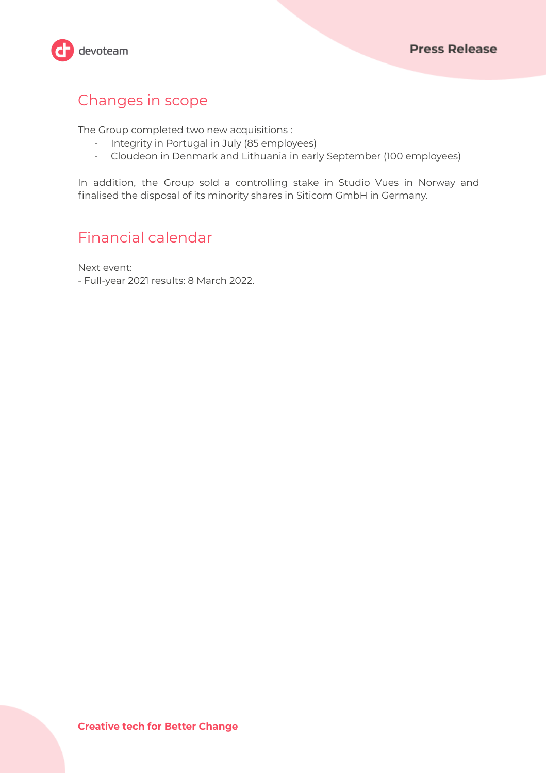

# Changes in scope

The Group completed two new acquisitions :

- Integrity in Portugal in July (85 employees)
- Cloudeon in Denmark and Lithuania in early September (100 employees)

In addition, the Group sold a controlling stake in Studio Vues in Norway and finalised the disposal of its minority shares in Siticom GmbH in Germany.

# Financial calendar

Next event:

- Full-year 2021 results: 8 March 2022.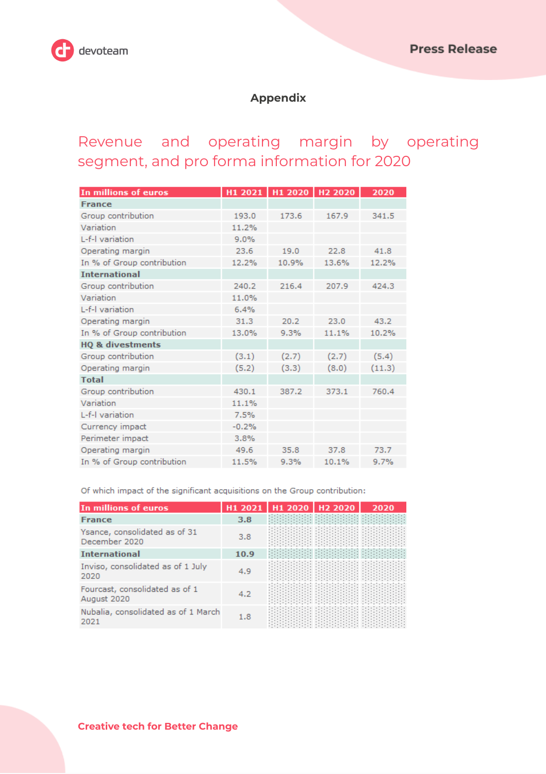### **Appendix**

# Revenue and operating margin by operating segment, and pro forma information for 2020

| In millions of euros        |         |       | H1 2021 H1 2020 H2 2020 | 2020   |
|-----------------------------|---------|-------|-------------------------|--------|
| <b>France</b>               |         |       |                         |        |
| Group contribution          | 193.0   | 173.6 | 167.9                   | 341.5  |
| Variation                   | 11.2%   |       |                         |        |
| L-f-I variation             | 9.0%    |       |                         |        |
| Operating margin            | 23.6    | 19.0  | 22.8                    | 41.8   |
| In % of Group contribution  | 12.2%   | 10.9% | 13.6%                   | 12.2%  |
| <b>International</b>        |         |       |                         |        |
| Group contribution          | 240.2   | 216.4 | 207.9                   | 424.3  |
| Variation                   | 11.0%   |       |                         |        |
| L-f-I variation             | 6.4%    |       |                         |        |
| Operating margin            | 31.3    | 20.2  | 23.0                    | 43.2   |
| In % of Group contribution  | 13.0%   | 9.3%  | 11.1%                   | 10.2%  |
| <b>HQ &amp; divestments</b> |         |       |                         |        |
| Group contribution          | (3.1)   | (2.7) | (2.7)                   | (5.4)  |
| Operating margin            | (5.2)   | (3.3) | (8.0)                   | (11.3) |
| <b>Total</b>                |         |       |                         |        |
| Group contribution          | 430.1   | 387.2 | 373.1                   | 760.4  |
| Variation                   | 11.1%   |       |                         |        |
| L-f-I variation             | 7.5%    |       |                         |        |
| Currency impact             | $-0.2%$ |       |                         |        |
| Perimeter impact            | 3.8%    |       |                         |        |
| Operating margin            | 49.6    | 35.8  | 37.8                    | 73.7   |
| In % of Group contribution  | 11.5%   | 9.3%  | 10.1%                   | 9.7%   |

Of which impact of the significant acquisitions on the Group contribution:

| In millions of euros                           |      | H <sub>1</sub> 2021   H <sub>1</sub> 2020   H <sub>2</sub> 2020 | 2020 |
|------------------------------------------------|------|-----------------------------------------------------------------|------|
| <b>France</b>                                  | 3.8  |                                                                 |      |
| Ysance, consolidated as of 31<br>December 2020 | 3.8  |                                                                 |      |
| <b>International</b>                           | 10.9 |                                                                 |      |
| Inviso, consolidated as of 1 July<br>2020      | 4.9  |                                                                 |      |
| Fourcast, consolidated as of 1<br>August 2020  | 4.2  |                                                                 |      |
| Nubalia, consolidated as of 1 March<br>2021    | 1.8  |                                                                 |      |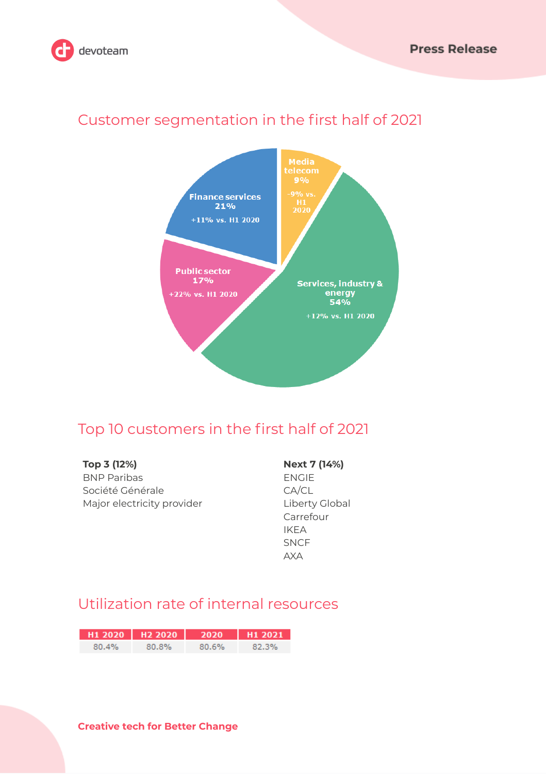

# Customer segmentation in the first half of 2021



## Top 10 customers in the first half of 2021

**Top 3 (12%)** BNP Paribas Société Générale Major electricity provider

**Next 7 (14%)** ENGIE CA/CL Liberty Global Carrefour IKEA SNCF AXA

### Utilization rate of internal resources

|       | H <sub>1</sub> 2020   H <sub>2</sub> 2020 | 2020  | H12021 |
|-------|-------------------------------------------|-------|--------|
| 80.4% | 80.8%                                     | 80.6% | 82.3%  |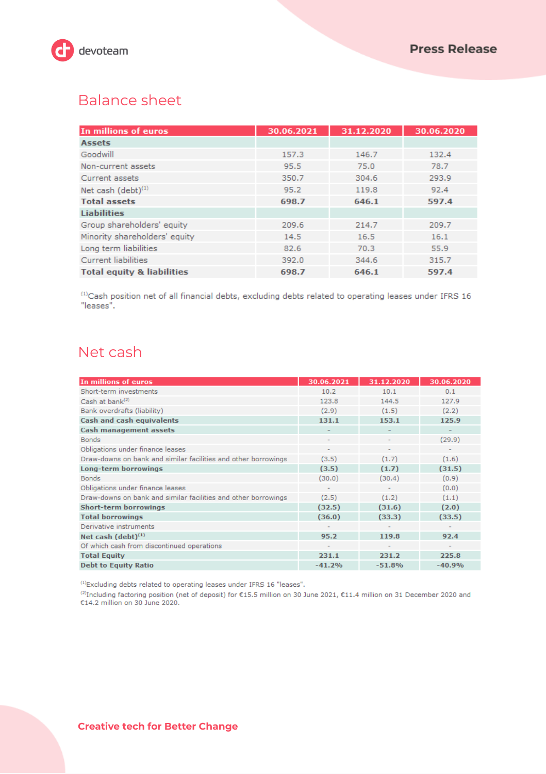

# Balance sheet

| In millions of euros                  | 30.06.2021 | 31.12.2020 | 30.06.2020 |
|---------------------------------------|------------|------------|------------|
| <b>Assets</b>                         |            |            |            |
| Goodwill                              | 157.3      | 146.7      | 132.4      |
| Non-current assets                    | 95.5       | 75.0       | 78.7       |
| Current assets                        | 350.7      | 304.6      | 293.9      |
| Net cash $(debt)^{(1)}$               | 95.2       | 119.8      | 92.4       |
| <b>Total assets</b>                   | 698.7      | 646.1      | 597.4      |
| <b>Liabilities</b>                    |            |            |            |
| Group shareholders' equity            | 209.6      | 214.7      | 209.7      |
| Minority shareholders' equity         | 14.5       | 16.5       | 16.1       |
| Long term liabilities                 | 82.6       | 70.3       | 55.9       |
| <b>Current liabilities</b>            | 392.0      | 344.6      | 315.7      |
| <b>Total equity &amp; liabilities</b> | 698.7      | 646.1      | 597.4      |

<sup>(1)</sup>Cash position net of all financial debts, excluding debts related to operating leases under IFRS 16 "leases".

### Net cash

| In millions of euros                                           | 30.06.2021               | 31.12.2020               | 30.06.2020               |
|----------------------------------------------------------------|--------------------------|--------------------------|--------------------------|
| Short-term investments                                         | 10.2                     | 10.1                     | 0.1                      |
| Cash at bank $(2)$                                             | 123.8                    | 144.5                    | 127.9                    |
| Bank overdrafts (liability)                                    | (2.9)                    | (1.5)                    | (2.2)                    |
| <b>Cash and cash equivalents</b>                               | 131.1                    | 153.1                    | 125.9                    |
| <b>Cash management assets</b>                                  |                          |                          |                          |
| <b>Bonds</b>                                                   | ۰                        |                          | (29.9)                   |
| Obligations under finance leases                               | ۰                        | $\overline{\phantom{a}}$ | $\overline{\phantom{a}}$ |
| Draw-downs on bank and similar facilities and other borrowings | (3.5)                    | (1.7)                    | (1.6)                    |
| Long-term borrowings                                           | (3.5)                    | (1.7)                    | (31.5)                   |
| <b>Bonds</b>                                                   | (30.0)                   | (30.4)                   | (0.9)                    |
| Obligations under finance leases                               | ۰                        |                          | (0.0)                    |
| Draw-downs on bank and similar facilities and other borrowings | (2.5)                    | (1.2)                    | (1.1)                    |
| <b>Short-term borrowings</b>                                   | (32.5)                   | (31.6)                   | (2.0)                    |
| <b>Total borrowings</b>                                        | (36.0)                   | (33.3)                   | (33.5)                   |
| Derivative instruments                                         | $\overline{\phantom{a}}$ | $\overline{a}$           | $\overline{\phantom{a}}$ |
| Net cash $(debt)^{(1)}$                                        | 95.2                     | 119.8                    | 92.4                     |
| Of which cash from discontinued operations                     | ۰                        |                          |                          |
| <b>Total Equity</b>                                            | 231.1                    | 231.2                    | 225.8                    |
| <b>Debt to Equity Ratio</b>                                    | $-41.2%$                 | $-51.8%$                 | $-40.9%$                 |

 $^{(1)}$ Excluding debts related to operating leases under IFRS 16 "leases".

<sup>(2)</sup>Including factoring position (net of deposit) for €15.5 million on 30 June 2021, €11.4 million on 31 December 2020 and €14.2 million on 30 June 2020.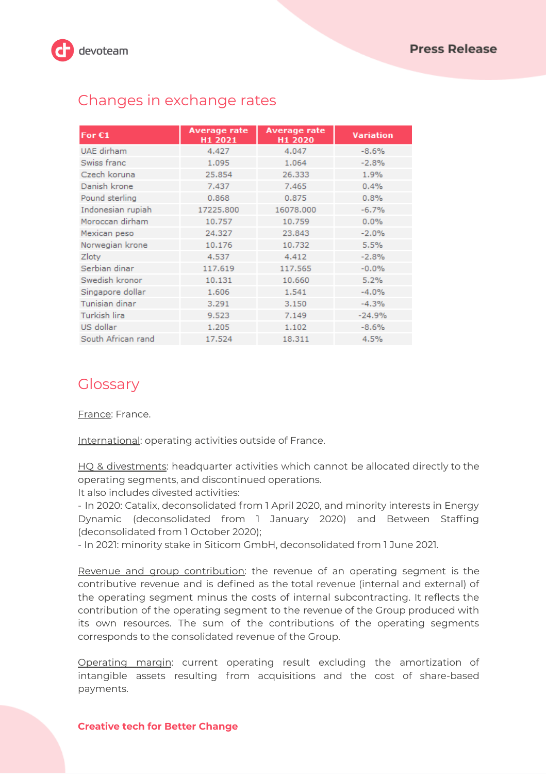

# Changes in exchange rates

| For $E1$           | <b>Average rate</b><br>H1 2021 | <b>Average rate</b><br>H1 2020 | <b>Variation</b> |
|--------------------|--------------------------------|--------------------------------|------------------|
| UAE dirham         | 4.427                          | 4.047                          | $-8.6%$          |
| Swiss franc        | 1.095                          | 1.064                          | $-2.8%$          |
| Czech koruna       | 25.854                         | 26.333                         | 1.9%             |
| Danish krone       | 7.437                          | 7.465                          | 0.4%             |
| Pound sterling     | 0.868                          | 0.875                          | 0.8%             |
| Indonesian rupiah  | 17225.800                      | 16078,000                      | $-6.7%$          |
| Moroccan dirham    | 10.757                         | 10.759                         | 0.0%             |
| Mexican peso       | 24.327                         | 23.843                         | $-2.0%$          |
| Norwegian krone    | 10.176                         | 10.732                         | 5.5%             |
| Zloty              | 4.537                          | 4.412                          | $-2.8%$          |
| Serbian dinar      | 117.619                        | 117.565                        | $-0.0%$          |
| Swedish kronor     | 10.131                         | 10.660                         | 5.2%             |
| Singapore dollar   | 1,606                          | 1.541                          | $-4.0%$          |
| Tunisian dinar     | 3.291                          | 3.150                          | $-4.3%$          |
| Turkish lira       | 9.523                          | 7.149                          | $-24.9%$         |
| US dollar          | 1.205                          | 1.102                          | $-8.6%$          |
| South African rand | 17.524                         | 18.311                         | 4.5%             |

### **Glossary**

France: France.

International: operating activities outside of France.

HQ & divestments: headquarter activities which cannot be allocated directly to the operating segments, and discontinued operations.

It also includes divested activities:

- In 2020: Catalix, deconsolidated from 1 April 2020, and minority interests in Energy Dynamic (deconsolidated from 1 January 2020) and Between Staffing (deconsolidated from 1 October 2020);

- In 2021: minority stake in Siticom GmbH, deconsolidated from 1 June 2021.

Revenue and group contribution: the revenue of an operating segment is the contributive revenue and is defined as the total revenue (internal and external) of the operating segment minus the costs of internal subcontracting. It reflects the contribution of the operating segment to the revenue of the Group produced with its own resources. The sum of the contributions of the operating segments corresponds to the consolidated revenue of the Group.

Operating margin: current operating result excluding the amortization of intangible assets resulting from acquisitions and the cost of share-based payments.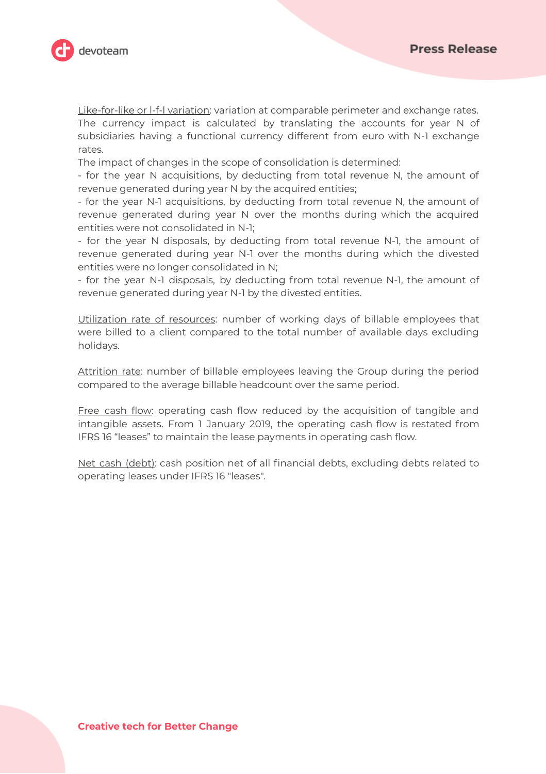

Like-for-like or l-f-l variation: variation at comparable perimeter and exchange rates. The currency impact is calculated by translating the accounts for year N of subsidiaries having a functional currency different from euro with N-1 exchange rates.

The impact of changes in the scope of consolidation is determined:

- for the year N acquisitions, by deducting from total revenue N, the amount of revenue generated during year N by the acquired entities;

- for the year N-1 acquisitions, by deducting from total revenue N, the amount of revenue generated during year N over the months during which the acquired entities were not consolidated in N-1;

- for the year N disposals, by deducting from total revenue N-1, the amount of revenue generated during year N-1 over the months during which the divested entities were no longer consolidated in N;

- for the year N-1 disposals, by deducting from total revenue N-1, the amount of revenue generated during year N-1 by the divested entities.

Utilization rate of resources: number of working days of billable employees that were billed to a client compared to the total number of available days excluding holidays.

Attrition rate: number of billable employees leaving the Group during the period compared to the average billable headcount over the same period.

Free cash flow: operating cash flow reduced by the acquisition of tangible and intangible assets. From 1 January 2019, the operating cash flow is restated from IFRS 16 "leases" to maintain the lease payments in operating cash flow.

Net cash (debt): cash position net of all financial debts, excluding debts related to operating leases under IFRS 16 "leases".